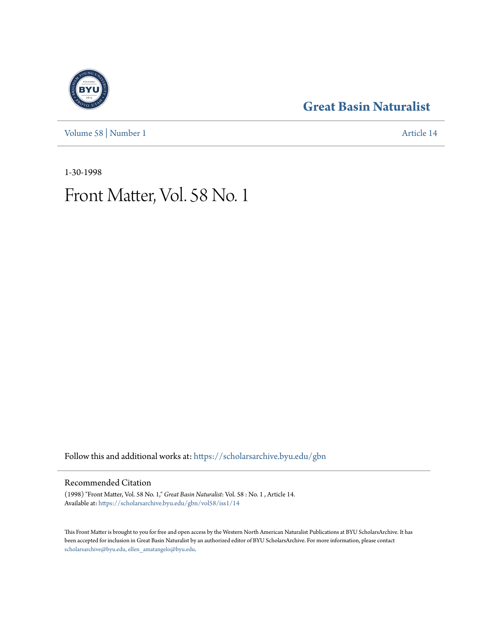[Volume 58](https://scholarsarchive.byu.edu/gbn/vol58?utm_source=scholarsarchive.byu.edu%2Fgbn%2Fvol58%2Fiss1%2F14&utm_medium=PDF&utm_campaign=PDFCoverPages) | [Number 1](https://scholarsarchive.byu.edu/gbn/vol58/iss1?utm_source=scholarsarchive.byu.edu%2Fgbn%2Fvol58%2Fiss1%2F14&utm_medium=PDF&utm_campaign=PDFCoverPages) [Article 14](https://scholarsarchive.byu.edu/gbn/vol58/iss1/14?utm_source=scholarsarchive.byu.edu%2Fgbn%2Fvol58%2Fiss1%2F14&utm_medium=PDF&utm_campaign=PDFCoverPages)

## **[Great Basin Naturalist](https://scholarsarchive.byu.edu/gbn?utm_source=scholarsarchive.byu.edu%2Fgbn%2Fvol58%2Fiss1%2F14&utm_medium=PDF&utm_campaign=PDFCoverPages)**

1-30-1998

# Front Matter, Vol. 58 No. 1

Follow this and additional works at: [https://scholarsarchive.byu.edu/gbn](https://scholarsarchive.byu.edu/gbn?utm_source=scholarsarchive.byu.edu%2Fgbn%2Fvol58%2Fiss1%2F14&utm_medium=PDF&utm_campaign=PDFCoverPages)

### Recommended Citation

(1998) "Front Matter, Vol. 58 No. 1," *Great Basin Naturalist*: Vol. 58 : No. 1 , Article 14. Available at: [https://scholarsarchive.byu.edu/gbn/vol58/iss1/14](https://scholarsarchive.byu.edu/gbn/vol58/iss1/14?utm_source=scholarsarchive.byu.edu%2Fgbn%2Fvol58%2Fiss1%2F14&utm_medium=PDF&utm_campaign=PDFCoverPages)

This Front Matter is brought to you for free and open access by the Western North American Naturalist Publications at BYU ScholarsArchive. It has been accepted for inclusion in Great Basin Naturalist by an authorized editor of BYU ScholarsArchive. For more information, please contact [scholarsarchive@byu.edu, ellen\\_amatangelo@byu.edu.](mailto:scholarsarchive@byu.edu,%20ellen_amatangelo@byu.edu)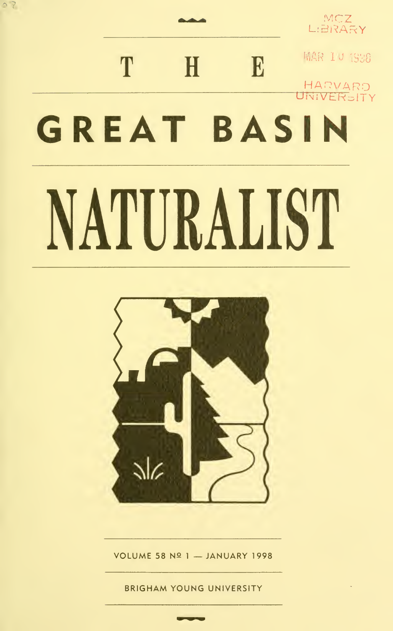# MCZ<br>L:BRARY MAR 10 1938 T E  $\mathbf{H}$ HARVARD<br>UNIVERSITY **GREAT BASIN** NATURALIST

 $22$ 



VOLUME 58 Nº 1 - JANUARY 1998

**BRIGHAM YOUNG UNIVERSITY**